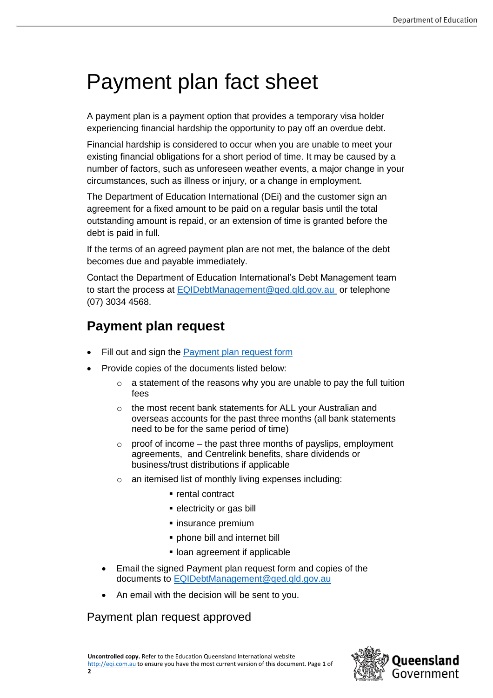# Payment plan fact sheet

A payment plan is a payment option that provides a temporary visa holder experiencing financial hardship the opportunity to pay off an overdue debt.

Financial hardship is considered to occur when you are unable to meet your existing financial obligations for a short period of time. It may be caused by a number of factors, such as unforeseen weather events, a major change in your circumstances, such as illness or injury, or a change in employment.

The Department of Education International (DEi) and the customer sign an agreement for a fixed amount to be paid on a regular basis until the total outstanding amount is repaid, or an extension of time is granted before the debt is paid in full.

If the terms of an agreed payment plan are not met, the balance of the debt becomes due and payable immediately.

Contact the Department of Education International's Debt Management team to start the process at [EQIDebtManagement@qed.qld.gov.au](mailto:EQIDebtManagement@qed.qld.gov.au) or telephone (07) 3034 4568.

## **Payment plan request**

- Fill out and sign the [Payment plan request form](https://eqi.com.au/tracpdf/payment-plan-request-form.pdf)
- Provide copies of the documents listed below:
	- $\circ$  a statement of the reasons why you are unable to pay the full tuition fees
	- o the most recent bank statements for ALL your Australian and overseas accounts for the past three months (all bank statements need to be for the same period of time)
	- $\alpha$  proof of income the past three months of payslips, employment agreements, and Centrelink benefits, share dividends or business/trust distributions if applicable
	- o an itemised list of monthly living expenses including:
		- rental contract
		- **·** electricity or gas bill
		- insurance premium
		- phone bill and internet bill
		- **.** loan agreement if applicable
	- Email the signed Payment plan request form and copies of the documents to [EQIDebtManagement@qed.qld.gov.au](mailto:EQIDebtManagement@qed.qld.gov.au)
	- An email with the decision will be sent to you.

### Payment plan request approved